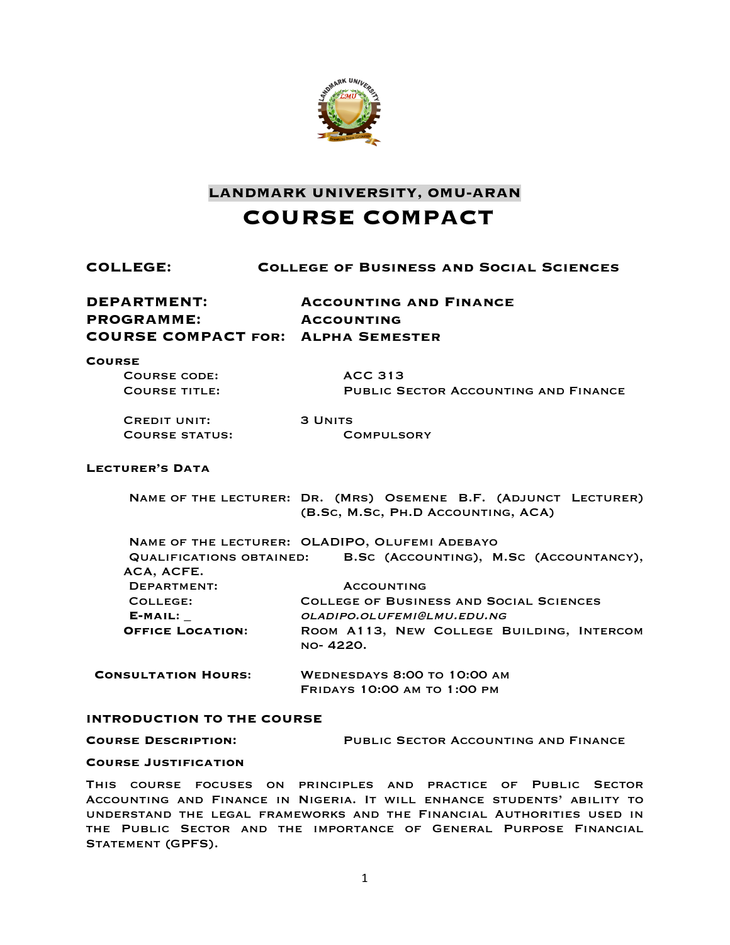

**LANDMARK UNIVERSITY, OMU-ARAN COURSE COMPACT**

| COLLEGE:                                                                      | <b>COLLEGE OF BUSINESS AND SOCIAL SCIENCES</b>                                                        |  |
|-------------------------------------------------------------------------------|-------------------------------------------------------------------------------------------------------|--|
| DEPARTMENT:<br><b>PROGRAMME:</b><br><b>COURSE COMPACT FOR: ALPHA SEMESTER</b> | <b>ACCOUNTING AND FINANCE</b><br><b>ACCOUNTING</b>                                                    |  |
| <b>COURSE</b><br><b>COURSE CODE:</b><br><b>COURSE TITLE:</b>                  | <b>ACC 313</b><br><b>PUBLIC SECTOR ACCOUNTING AND FINANCE</b>                                         |  |
| <b>CREDIT UNIT:</b><br><b>COURSE STATUS:</b>                                  | <b>3 UNITS</b><br><b>COMPULSORY</b>                                                                   |  |
| <b>LECTURER'S DATA</b>                                                        |                                                                                                       |  |
|                                                                               | NAME OF THE LECTURER: DR. (MRS) OSEMENE B.F. (ADJUNCT LECTURER)<br>(B.Sc, M.Sc, PH.D ACCOUNTING, ACA) |  |
|                                                                               | NAME OF THE LECTURER: OLADIPO, OLUFEMI ADEBAYO                                                        |  |
| ACA, ACFE.                                                                    | QUALIFICATIONS OBTAINED: B.SC (ACCOUNTING), M.SC (ACCOUNTANCY),                                       |  |
| <b>DEPARTMENT:</b>                                                            | <b>ACCOUNTING</b>                                                                                     |  |
| COLLEGE:                                                                      | <b>COLLEGE OF BUSINESS AND SOCIAL SCIENCES</b>                                                        |  |
| $E-MAIL:$<br><b>OFFICE LOCATION:</b>                                          | OLADIPO.OLUFEMI@LMU.EDU.NG                                                                            |  |
|                                                                               | ROOM A113, NEW COLLEGE BUILDING, INTERCOM<br>NO-4220.                                                 |  |
| <b>CONSULTATION HOURS:</b>                                                    | <b>WEDNESDAYS 8:00 TO 10:00 AM</b>                                                                    |  |
|                                                                               | <b>FRIDAYS 10:00 AM TO 1:00 PM</b>                                                                    |  |

# **INTRODUCTION TO THE COURSE**

**Course Description:** Public Sector Accounting and Finance

#### **Course Justification**

This course focuses on principles and practice of Public Sector Accounting and Finance in Nigeria. It will enhance students' ability to understand the legal frameworks and the Financial Authorities used in the Public Sector and the importance of General Purpose Financial STATEMENT (GPFS).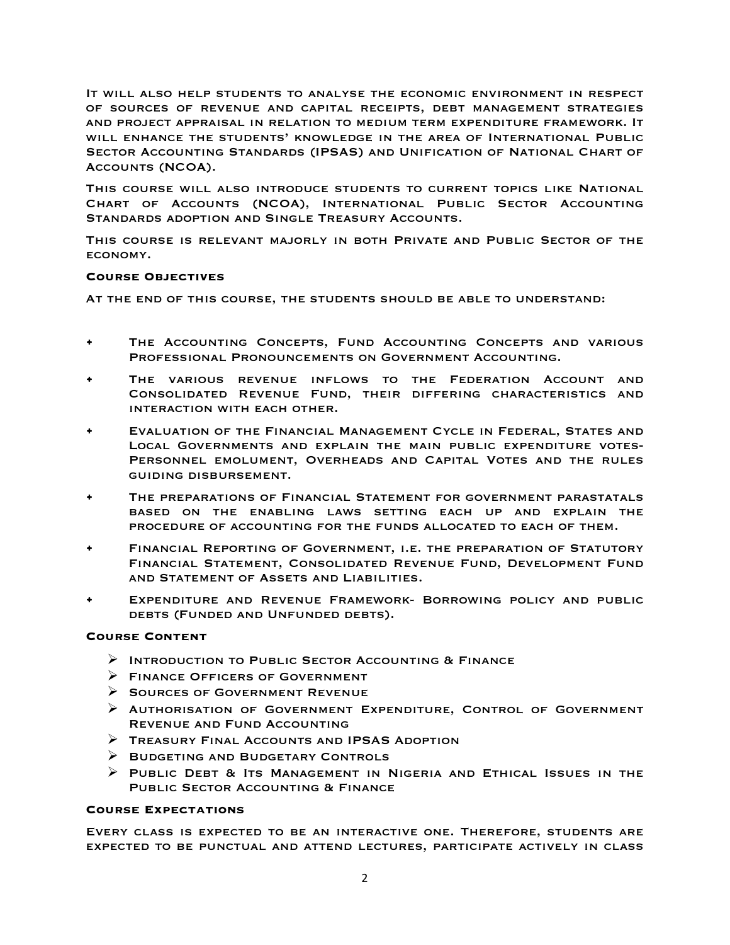It will also help students to analyse the economic environment in respect of sources of revenue and capital receipts, debt management strategies and project appraisal in relation to medium term expenditure framework. It will enhance the students' knowledge in the area of International Public Sector Accounting Standards (IPSAS) and Unification of National Chart of Accounts (NCOA).

This course will also introduce students to current topics like National Chart of Accounts (NCOA), International Public Sector Accounting Standards adoption and Single Treasury Accounts.

This course is relevant majorly in both Private and Public Sector of the economy.

## **Course Objectives**

At the end of this course, the students should be able to understand:

- THE ACCOUNTING CONCEPTS, FUND ACCOUNTING CONCEPTS AND VARIOUS Professional Pronouncements on Government Accounting.
- THE VARIOUS REVENUE INFLOWS TO THE FEDERATION ACCOUNT AND Consolidated Revenue Fund, their differing characteristics and interaction with each other.
- Evaluation of the Financial Management Cycle in Federal, States and Local Governments and explain the main public expenditure votes-Personnel emolument, Overheads and Capital Votes and the rules guiding disbursement.
- THE PREPARATIONS OF FINANCIAL STATEMENT FOR GOVERNMENT PARASTATALS based on the enabling laws setting each up and explain the procedure of accounting for the funds allocated to each of them.
- Financial Reporting of Government, i.e. the preparation of Statutory Financial Statement, Consolidated Revenue Fund, Development Fund and Statement of Assets and Liabilities.
- Expenditure and Revenue Framework- Borrowing policy and public debts (Funded and Unfunded debts).

# **Course Content**

- Ø Introduction to Public Sector Accounting & Finance
- $\triangleright$  FINANCE OFFICERS OF GOVERNMENT
- $\triangleright$  SOURCES OF GOVERNMENT REVENUE
- $\triangleright$  Authorisation of Government Expenditure, Control of Government Revenue and Fund Accounting
- $\triangleright$  Treasury Final Accounts and IPSAS Adoption
- $\triangleright$  BUDGETING AND BUDGETARY CONTROLS
- Ø Public Debt & Its Management in Nigeria and Ethical Issues in the Public Sector Accounting & Finance

#### **Course Expectations**

Every class is expected to be an interactive one. Therefore, students are expected to be punctual and attend lectures, participate actively in class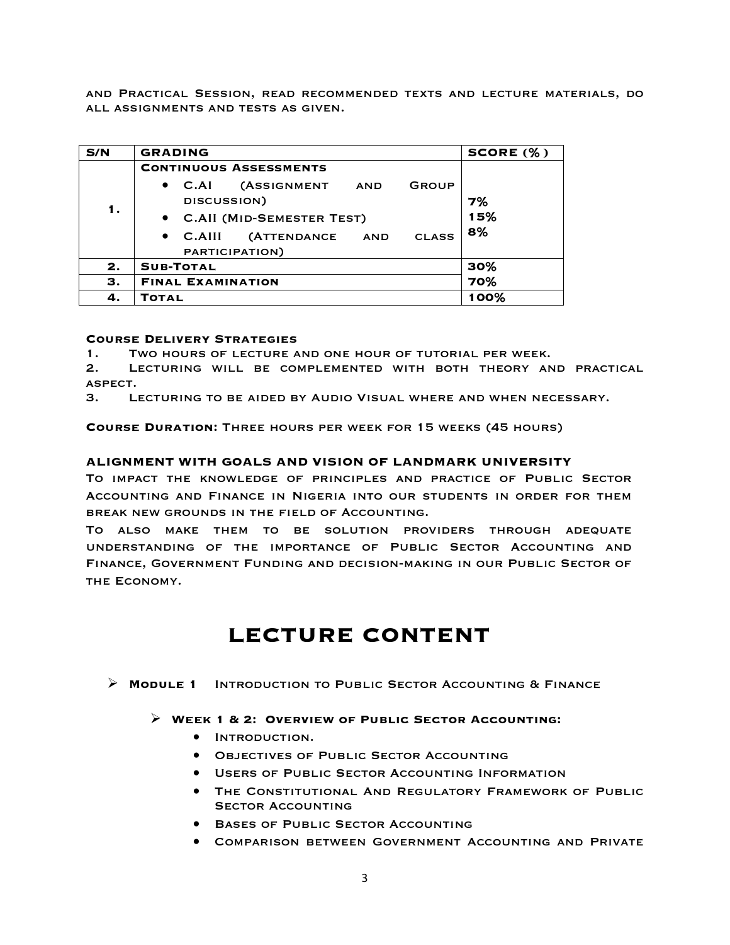and Practical Session, read recommended texts and lecture materials, do all assignments and tests as given.

| S/N | <b>GRADING</b>                                                                                     | SCORE (%) |  |
|-----|----------------------------------------------------------------------------------------------------|-----------|--|
|     | <b>CONTINUOUS ASSESSMENTS</b>                                                                      |           |  |
| 1.  | <b>(ASSIGNMENT</b><br>$\bullet$ C.AI<br>GROUP<br>AND<br>DISCUSSION)<br>• C.All (MID-SEMESTER TEST) | 7%<br>15% |  |
|     | (ATTENDANCE AND<br>$\bullet$ C.AIII<br><b>CLASS</b><br>PARTICIPATION)                              | 8%        |  |
| 2.  | <b>SUB-TOTAL</b>                                                                                   | 30%       |  |
| З.  | <b>FINAL EXAMINATION</b>                                                                           | 70%       |  |
| 4.  | <b>TOTAL</b>                                                                                       | 100%      |  |

# **Course Delivery Strategies**

1. Two hours of lecture and one hour of tutorial per week.

2. Lecturing will be complemented with both theory and practical aspect.

3. Lecturing to be aided by Audio Visual where and when necessary.

**Course Duration:** Three hours per week for 15 weeks (45 hours)

## **ALIGNMENT WITH GOALS AND VISION OF LANDMARK UNIVERSITY**

To impact the knowledge of principles and practice of Public Sector Accounting and Finance in Nigeria into our students in order for them break new grounds in the field of Accounting.

To also make them to be solution providers through adequate understanding of the importance of Public Sector Accounting and Finance, Government Funding and decision-making in our Public Sector of THE ECONOMY.

# **LECTURE CONTENT**

Ø **Module 1** Introduction to Public Sector Accounting & Finance

#### Ø **Week 1 & 2: Overview of Public Sector Accounting:**

- Introduction.
- Objectives of Public Sector Accounting
- Users of Public Sector Accounting Information
- The Constitutional And Regulatory Framework of Public **SECTOR ACCOUNTING**
- **BASES OF PUBLIC SECTOR ACCOUNTING**
- Comparison between Government Accounting and Private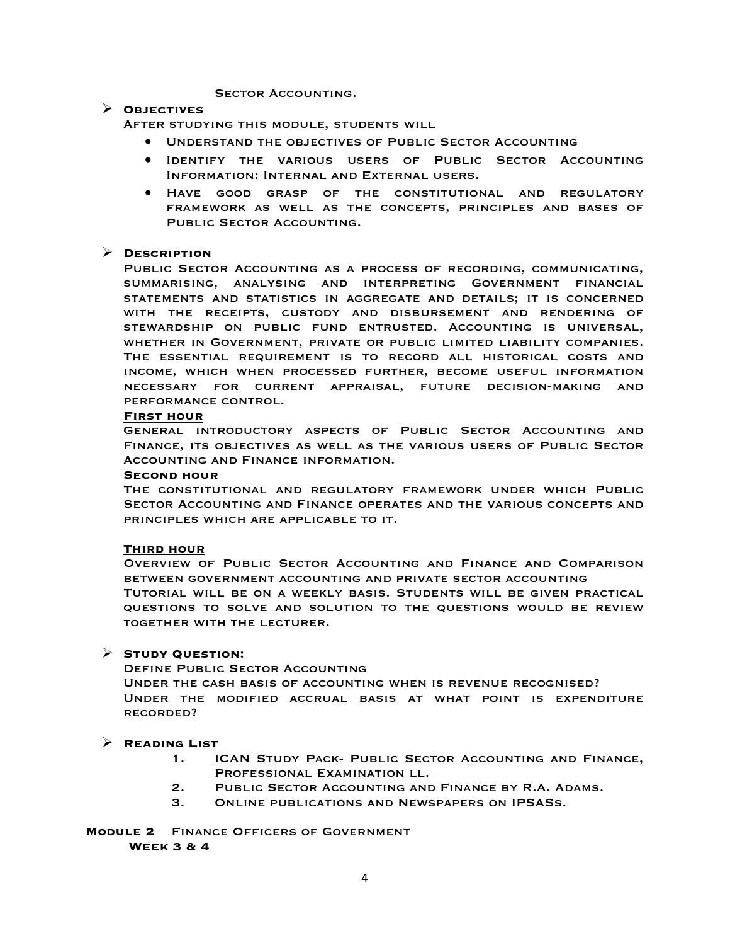## SECTOR ACCOUNTING.

### Ø **Objectives**

After studying this module, students will

- Understand the objectives of Public Sector Accounting
- Identify the various users of Public Sector Accounting Information: Internal and External users.
- Have good grasp of the constitutional and regulatory framework as well as the concepts, principles and bases of PUBLIC SECTOR ACCOUNTING.

# Ø **Description**

Public Sector Accounting as a process of recording, communicating, summarising, analysing and interpreting Government financial statements and statistics in aggregate and details; it is concerned with the receipts, custody and disbursement and rendering of stewardship on public fund entrusted. Accounting is universal, whether in Government, private or public limited liability companies. The essential requirement is to record all historical costs and income, which when processed further, become useful information necessary for current appraisal, future decision-making and performance control.

## **First hour**

General introductory aspects of Public Sector Accounting and Finance, its objectives as well as the various users of Public Sector Accounting and Finance information.

#### **Second hour**

The constitutional and regulatory framework under which Public Sector Accounting and Finance operates and the various concepts and principles which are applicable to it.

# **Third hour**

Overview of Public Sector Accounting and Finance and Comparison between government accounting and private sector accounting Tutorial will be on a weekly basis. Students will be given practical questions to solve and solution to the questions would be review together with the lecturer.

# Ø **Study Question:**

Define Public Sector Accounting

Under the cash basis of accounting when is revenue recognised? Under the modified accrual basis at what point is expenditure recorded?

# Ø **Reading List**

- 1. ICAN Study Pack- Public Sector Accounting and Finance, Professional Examination ll.
- 2. Public Sector Accounting and Finance by R.A. Adams.
- 3. Online publications and Newspapers on IPSASs.

**Module 2** Finance Officers of Government **Week 3 & 4**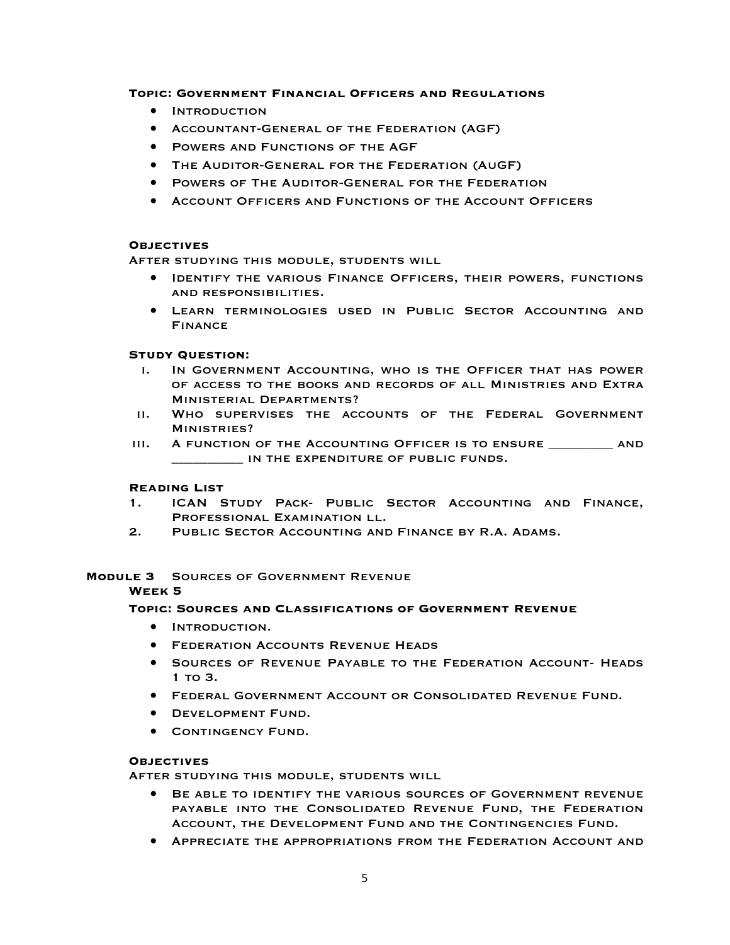# **Topic: Government Financial Officers and Regulations**

- Introduction
- Accountant-General of the Federation (AGF)
- Powers and Functions of the AGF
- The Auditor-General for the Federation (AuGF)
- Powers of The Auditor-General for the Federation
- Account Officers and Functions of the Account Officers

# **Objectives**

After studying this module, students will

- Identify the various Finance Officers, their powers, functions and responsibilities.
- Learn terminologies used in Public Sector Accounting and Finance

# **Study Question:**

- i. In Government Accounting, who is the Officer that has power of access to the books and records of all Ministries and Extra Ministerial Departments?
- ii. Who supervises the accounts of the Federal Government Ministries?
- iii. A function of the Accounting Officer is to ensure \_\_\_\_\_\_\_\_\_ and IN THE EXPENDITURE OF PUBLIC FUNDS.

# **Reading List**

- 1. ICAN Study Pack- Public Sector Accounting and Finance, Professional Examination ll.
- 2. Public Sector Accounting and Finance by R.A. Adams.

# **Module 3** Sources of Government Revenue

# **Week 5**

# **Topic: Sources and Classifications of Government Revenue**

- Introduction.
- **FEDERATION ACCOUNTS REVENUE HEADS**
- Sources of Revenue Payable to the Federation Account- Heads 1 to 3.
- Federal Government Account or Consolidated Revenue Fund.
- Development Fund.
- **CONTINGENCY FUND.**

# **Objectives**

After studying this module, students will

- BE ABLE TO IDENTIFY THE VARIOUS SOURCES OF GOVERNMENT REVENUE payable into the Consolidated Revenue Fund, the Federation Account, the Development Fund and the Contingencies Fund.
- Appreciate the appropriations from the Federation Account and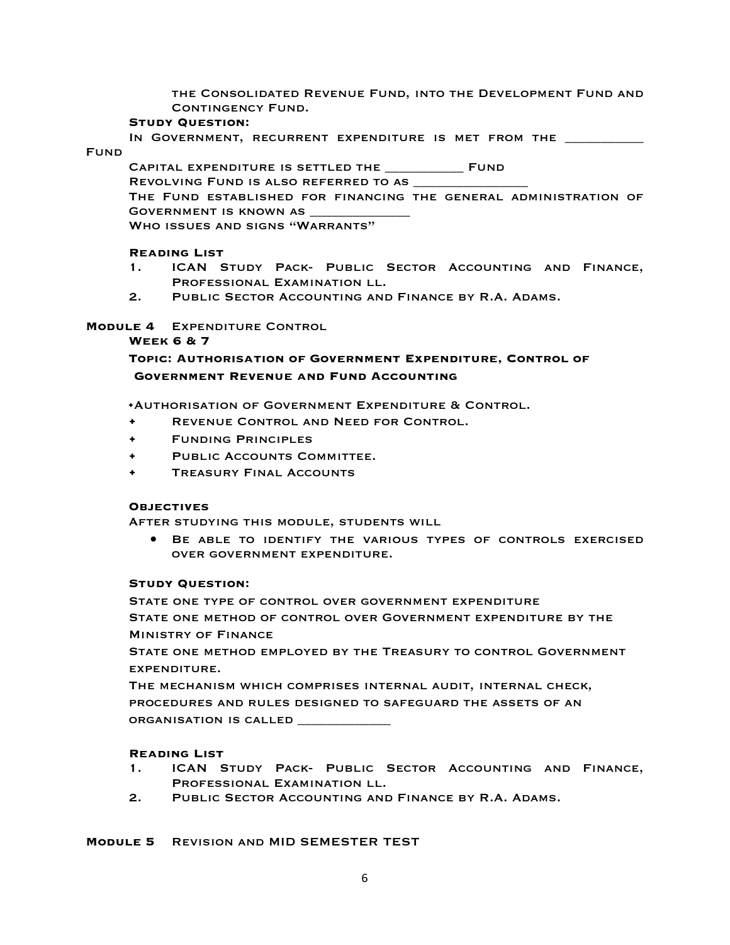the Consolidated Revenue Fund, into the Development Fund and CONTINGENCY FUND.

## **Study Question:**

IN GOVERNMENT, RECURRENT EXPENDITURE IS MET FROM THE \_\_ Fund

Capital expenditure is settled the \_\_\_\_\_\_\_\_\_\_\_ Fund REVOLVING FUND IS ALSO REFERRED TO AS

The Fund established for financing the general administration of GOVERNMENT IS KNOWN AS

Who issues and signs "Warrants"

# **Reading List**

- 1. ICAN Study Pack- Public Sector Accounting and Finance, Professional Examination ll.
- 2. Public Sector Accounting and Finance by R.A. Adams.

# **Module 4** Expenditure Control

# **Week 6 & 7**

# **Topic: Authorisation of Government Expenditure, Control of Government Revenue and Fund Accounting**

**•**Authorisation of Government Expenditure & Control.

- Revenue Control and Need for Control.
- Funding Principles
- PUBLIC ACCOUNTS COMMITTEE.
- Treasury Final Accounts

# **Objectives**

After studying this module, students will

• Be able to identify the various types of controls exercised over government expenditure.

# **Study Question:**

State one type of control over government expenditure State one method of control over Government expenditure by the Ministry of Finance

State one method employed by the Treasury to control Government expenditure.

The mechanism which comprises internal audit, internal check, procedures and rules designed to safeguard the assets of an ORGANISATION IS CALLED \_\_\_\_\_

# **Reading List**

- 1. ICAN Study Pack- Public Sector Accounting and Finance, PROFESSIONAL EXAMINATION LL.
- 2. Public Sector Accounting and Finance by R.A. Adams.

**Module 5** Revision and MID SEMESTER TEST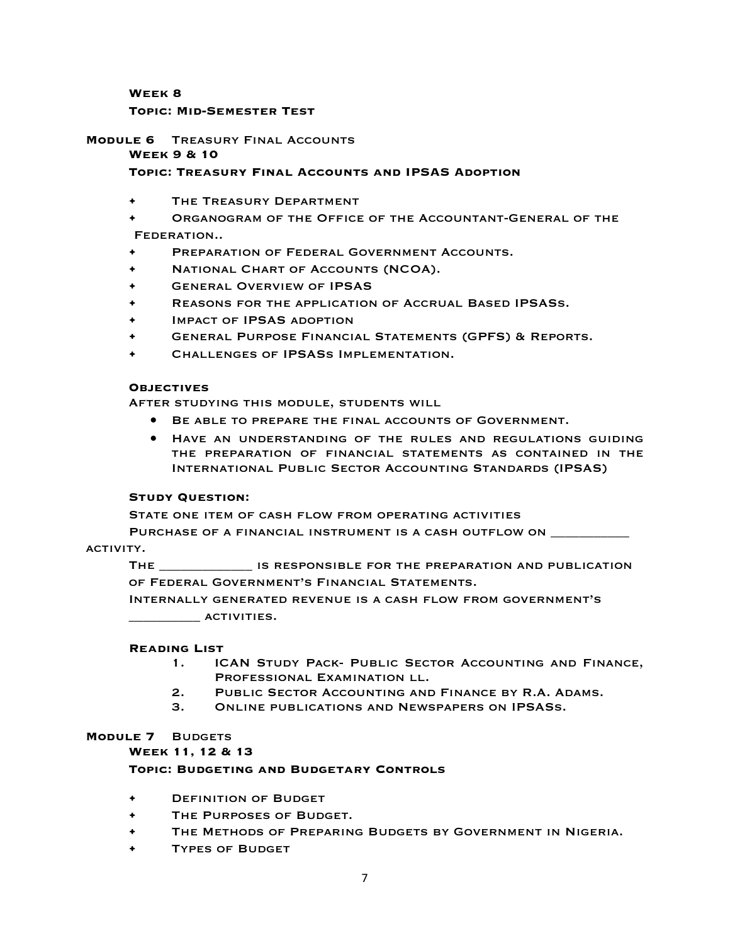**Week 8**

## **Topic: Mid-Semester Test**

# **Module 6** Treasury Final Accounts

## **Week 9 & 10**

# **Topic: Treasury Final Accounts and IPSAS Adoption**

- THE TREASURY DEPARTMENT
- Organogram of the Office of the Accountant-General of the Federation..
- PREPARATION OF FEDERAL GOVERNMENT ACCOUNTS.
- National Chart of Accounts (NCOA).
- General Overview of IPSAS
- Reasons for the application of Accrual Based IPSASs.
- Impact of IPSAS adoption
- General Purpose Financial Statements (GPFS) & Reports.
- Challenges of IPSASs Implementation.

#### **Objectives**

After studying this module, students will

- Be able to prepare the final accounts of Government.
- Have an understanding of the rules and regulations guiding the preparation of financial statements as contained in the International Public Sector Accounting Standards (IPSAS)

# **Study Question:**

STATE ONE ITEM OF CASH FLOW FROM OPERATING ACTIVITIES

PURCHASE OF A FINANCIAL INSTRUMENT IS A CASH OUTFLOW ON \_\_\_\_\_\_\_\_\_\_\_\_\_\_\_\_\_\_\_\_\_\_\_\_\_

# ACTIVITY.

The \_\_\_\_\_\_\_\_\_\_\_\_\_ is responsible for the preparation and publication of Federal Government's Financial Statements.

Internally generated revenue is a cash flow from government's  $\overline{\phantom{a}}$  activities.

# **Reading List**

- 1. ICAN Study Pack- Public Sector Accounting and Finance, PROFESSIONAL EXAMINATION LL.
- 2. Public Sector Accounting and Finance by R.A. Adams.
- 3. Online publications and Newspapers on IPSASs.

# **Module 7** Budgets

**Week 11, 12 & 13**

# **Topic: Budgeting and Budgetary Controls**

- Definition of Budget
- The Purposes of Budget.
- The Methods of Preparing Budgets by Government in Nigeria.
- **TYPES OF BUDGET**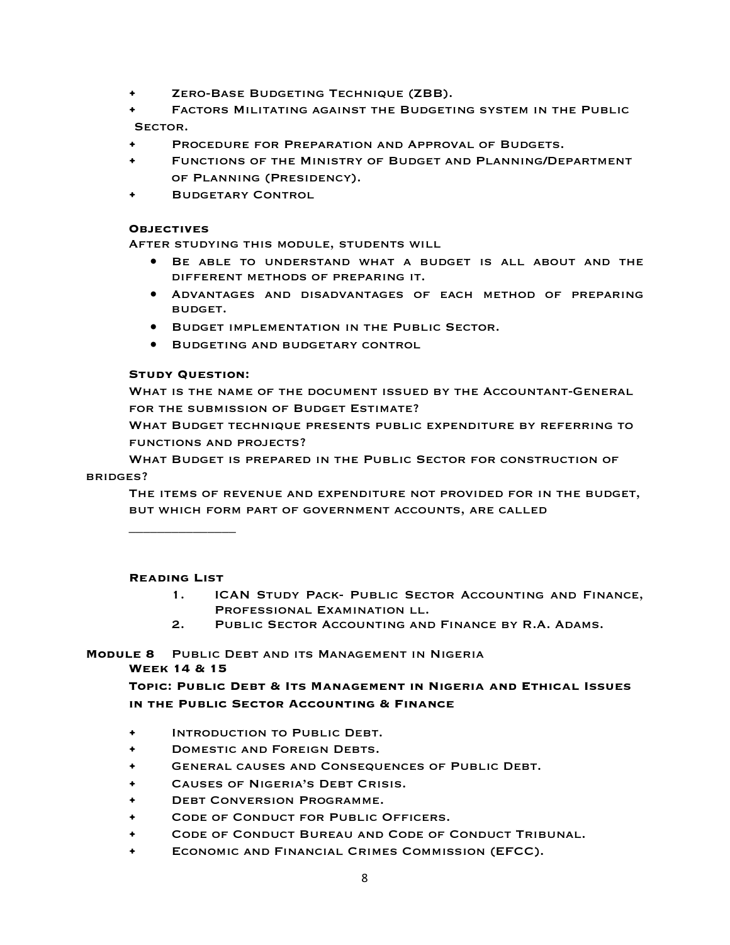- Zero-Base Budgeting Technique (ZBB).
- Factors Militating against the Budgeting system in the Public SECTOR.
- PROCEDURE FOR PREPARATION AND APPROVAL OF BUDGETS.
- Functions of the Ministry of Budget and Planning/Department of Planning (Presidency).
- **BUDGETARY CONTROL**

## **Objectives**

After studying this module, students will

- BE ABLE TO UNDERSTAND WHAT A BUDGET IS ALL ABOUT AND THE different methods of preparing it.
- Advantages and disadvantages of each method of preparing budget.
- Budget implementation in the Public Sector.
- Budgeting and budgetary control

# **Study Question:**

What is the name of the document issued by the Accountant-General for the submission of Budget Estimate?

What Budget technique presents public expenditure by referring to functions and projects?

What Budget is prepared in the Public Sector for construction of bridges?

The items of revenue and expenditure not provided for in the budget, but which form part of government accounts, are called

**Reading List** 

 $\overline{\phantom{a}}$  , where  $\overline{\phantom{a}}$ 

- 1. ICAN Study Pack- Public Sector Accounting and Finance, Professional Examination ll.
- 2. Public Sector Accounting and Finance by R.A. Adams.

**Module 8** Public Debt and its Management in Nigeria

# **Week 14 & 15**

**Topic: Public Debt & Its Management in Nigeria and Ethical Issues in the Public Sector Accounting & Finance**

- Introduction to Public Debt.
- Domestic and Foreign Debts.
- General causes and Consequences of Public Debt.
- Causes of Nigeria's Debt Crisis.
- Debt Conversion Programme.
- CODE OF CONDUCT FOR PUBLIC OFFICERS.
- Code of Conduct Bureau and Code of Conduct Tribunal.
- Economic and Financial Crimes Commission (EFCC).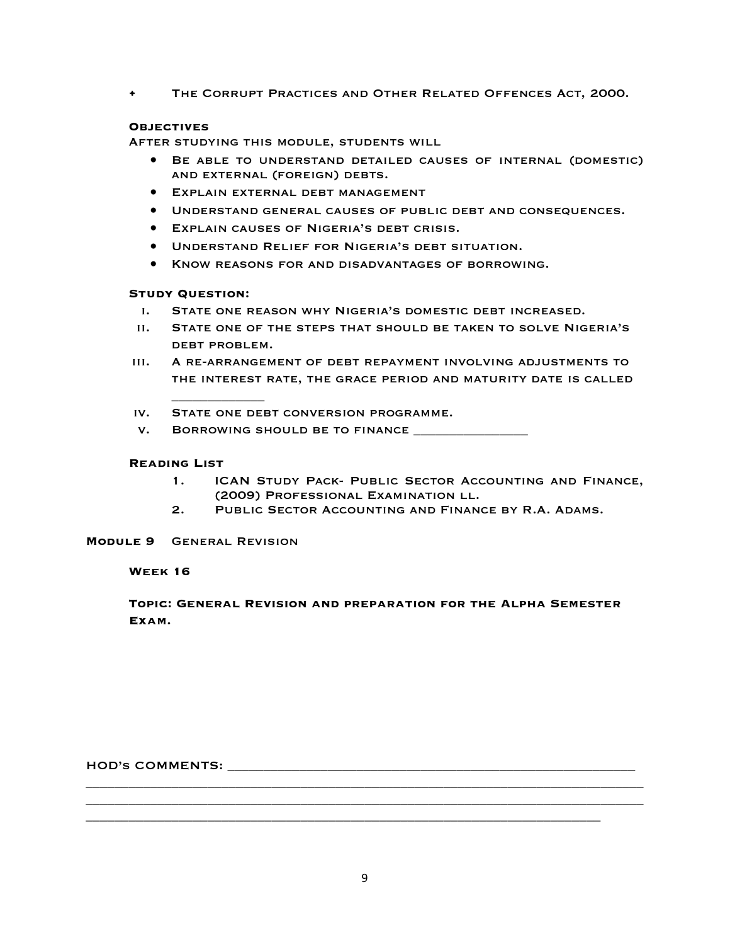• The Corrupt Practices and Other Related Offences Act, 2000.

# **Objectives**

After studying this module, students will

- Be able to understand detailed causes of internal (domestic) and external (foreign) debts.
- Explain external debt management
- Understand general causes of public debt and consequences.
- Explain causes of Nigeria's debt crisis.
- Understand Relief for Nigeria's debt situation.
- Know reasons for and disadvantages of borrowing.

# **Study Question:**

\_\_\_\_\_\_\_\_\_\_\_\_\_

- i. State one reason why Nigeria's domestic debt increased.
- ii. State one of the steps that should be taken to solve Nigeria's debt problem.
- iii. A re-arrangement of debt repayment involving adjustments to the interest rate, the grace period and maturity date is called

iv. State one debt conversion programme.

v. Borrowing should be to finance \_\_\_\_\_\_\_\_\_\_\_\_\_\_\_\_

# **Reading List**

- 1. ICAN Study Pack- Public Sector Accounting and Finance, (2009) Professional Examination ll.
- 2. Public Sector Accounting and Finance by R.A. Adams.

# **Module 9** General Revision

# **Week 16**

# **Topic: General Revision and preparation for the Alpha Semester Exam.**

HOD's COMMENTS: \_\_\_\_\_\_\_\_\_\_\_\_\_\_\_\_\_\_\_\_\_\_\_\_\_\_\_\_\_\_\_\_\_\_\_\_\_\_\_\_\_\_\_\_\_\_\_\_\_\_\_\_\_\_\_\_\_

\_\_\_\_\_\_\_\_\_\_\_\_\_\_\_\_\_\_\_\_\_\_\_\_\_\_\_\_\_\_\_\_\_\_\_\_\_\_\_\_\_\_\_\_\_\_\_\_\_\_\_\_\_\_\_\_\_\_\_\_\_\_\_\_\_\_\_\_\_\_\_\_\_\_\_\_\_\_ \_\_\_\_\_\_\_\_\_\_\_\_\_\_\_\_\_\_\_\_\_\_\_\_\_\_\_\_\_\_\_\_\_\_\_\_\_\_\_\_\_\_\_\_\_\_\_\_\_\_\_\_\_\_\_\_\_\_\_\_\_\_\_\_\_\_\_\_\_\_\_\_\_\_\_\_\_\_

\_\_\_\_\_\_\_\_\_\_\_\_\_\_\_\_\_\_\_\_\_\_\_\_\_\_\_\_\_\_\_\_\_\_\_\_\_\_\_\_\_\_\_\_\_\_\_\_\_\_\_\_\_\_\_\_\_\_\_\_\_\_\_\_\_\_\_\_\_\_\_\_